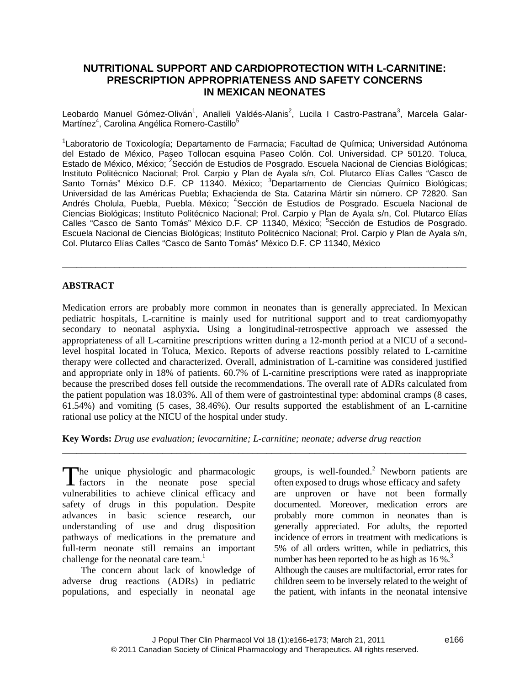# **NUTRITIONAL SUPPORT AND CARDIOPROTECTION WITH L-CARNITINE: PRESCRIPTION APPROPRIATENESS AND SAFETY CONCERNS IN MEXICAN NEONATES**

Leobardo Manuel Gómez-Oliván<sup>1</sup>, Analleli Valdés-Alanis<sup>2</sup>, Lucila I Castro-Pastrana<sup>3</sup>, Marcela Galar-Martínez<sup>4</sup>, Carolina Angélica Romero-Castillo<sup>5</sup>

<sup>1</sup>Laboratorio de Toxicología; Departamento de Farmacia; Facultad de Química; Universidad Autónoma del Estado de México, Paseo Tollocan esquina Paseo Colón. Col. Universidad. CP 50120. Toluca, Estado de México, México; <sup>2</sup>Sección de Estudios de Posgrado. Escuela Nacional de Ciencias Biológicas; Instituto Politécnico Nacional; Prol. Carpio y Plan de Ayala s/n, Col. Plutarco Elías Calles "Casco de Santo Tomás" México D.F. CP 11340. México; <sup>3</sup>Departamento de Ciencias Químico Biológicas; Universidad de las Américas Puebla; Exhacienda de Sta. Catarina Mártir sin número. CP 72820. San Andrés Cholula, Puebla, Puebla. México; <sup>4</sup>Sección de Estudios de Posgrado. Escuela Nacional de Ciencias Biológicas; Instituto Politécnico Nacional; Prol. Carpio y Plan de Ayala s/n, Col. Plutarco Elías Calles "Casco de Santo Tomás" México D.F. CP 11340, México; <sup>5</sup>Sección de Estudios de Posgrado. Escuela Nacional de Ciencias Biológicas; Instituto Politécnico Nacional; Prol. Carpio y Plan de Ayala s/n, Col. Plutarco Elías Calles "Casco de Santo Tomás" México D.F. CP 11340, México

\_\_\_\_\_\_\_\_\_\_\_\_\_\_\_\_\_\_\_\_\_\_\_\_\_\_\_\_\_\_\_\_\_\_\_\_\_\_\_\_\_\_\_\_\_\_\_\_\_\_\_\_\_\_\_\_\_\_\_\_\_\_\_\_\_\_\_\_\_\_\_\_\_\_\_\_\_\_\_\_\_\_\_\_\_

# **ABSTRACT**

Medication errors are probably more common in neonates than is generally appreciated. In Mexican pediatric hospitals, L-carnitine is mainly used for nutritional support and to treat cardiomyopathy secondary to neonatal asphyxia**.** Using a longitudinal-retrospective approach we assessed the appropriateness of all L-carnitine prescriptions written during a 12-month period at a NICU of a secondlevel hospital located in Toluca, Mexico. Reports of adverse reactions possibly related to L-carnitine therapy were collected and characterized. Overall, administration of L-carnitine was considered justified and appropriate only in 18% of patients. 60.7% of L-carnitine prescriptions were rated as inappropriate because the prescribed doses fell outside the recommendations. The overall rate of ADRs calculated from the patient population was 18.03%. All of them were of gastrointestinal type: abdominal cramps (8 cases, 61.54%) and vomiting (5 cases, 38.46%). Our results supported the establishment of an L-carnitine rational use policy at the NICU of the hospital under study.

\_\_\_\_\_\_\_\_\_\_\_\_\_\_\_\_\_\_\_\_\_\_\_\_\_\_\_\_\_\_\_\_\_\_\_\_\_\_\_\_\_\_\_\_\_\_\_\_\_\_\_\_\_\_\_\_\_\_\_\_\_\_\_\_\_\_\_\_\_\_\_\_\_\_\_\_\_\_\_\_\_\_\_\_\_

**Key Words:** *Drug use evaluation; levocarnitine; L-carnitine; neonate; adverse drug reaction*

The unique physiologic and pharmacologic<br>factors in the neonate pose special factors in the neonate pose special vulnerabilities to achieve clinical efficacy and safety of drugs in this population. Despite advances in basic science research, our understanding of use and drug disposition pathways of medications in the premature and full-term neonate still remains an important challenge for the neonatal care team.<sup>1</sup>

The concern about lack of knowledge of adverse drug reactions (ADRs) in pediatric populations, and especially in neonatal age groups, is well-founded. $<sup>2</sup>$  Newborn patients are</sup> often exposed to drugs whose efficacy and safety are unproven or have not been formally documented. Moreover, medication errors are probably more common in neonates than is generally appreciated. For adults, the reported incidence of errors in treatment with medications is 5% of all orders written, while in pediatrics, this number has been reported to be as high as  $16\%$ .<sup>3</sup> Although the causes are multifactorial, error rates for

children seem to be inversely related to the weight of the patient, with infants in the neonatal intensive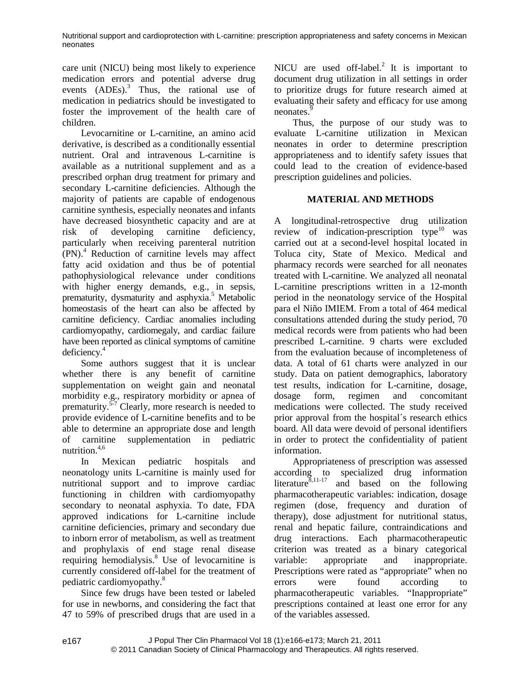care unit (NICU) being most likely to experience medication errors and potential adverse drug events  $(ADEs)$ .<sup>3</sup> Thus, the rational use of medication in pediatrics should be investigated to foster the improvement of the health care of children.

Levocarnitine or L-carnitine, an amino acid derivative, is described as a conditionally essential nutrient. Oral and intravenous L-carnitine is available as a nutritional supplement and as a prescribed orphan drug treatment for primary and secondary L-carnitine deficiencies. Although the majority of patients are capable of endogenous carnitine synthesis, especially neonates and infants have decreased biosynthetic capacity and are at risk of developing carnitine deficiency, particularly when receiving parenteral nutrition (PN).<sup>4</sup> Reduction of carnitine levels may affect fatty acid oxidation and thus be of potential pathophysiological relevance under conditions with higher energy demands, e.g., in sepsis, prematurity, dysmaturity and asphyxia.<sup>5</sup> Metabolic homeostasis of the heart can also be affected by carnitine deficiency. Cardiac anomalies including cardiomyopathy, cardiomegaly, and cardiac failure have been reported as clinical symptoms of carnitine deficiency.<sup>4</sup>

Some authors suggest that it is unclear whether there is any benefit of carnitine supplementation on weight gain and neonatal morbidity e.g., respiratory morbidity or apnea of prematurity.<sup>5-7</sup> Clearly, more research is needed to provide evidence of L-carnitine benefits and to be able to determine an appropriate dose and length of carnitine supplementation in pediatric nutrition.4,6

In Mexican pediatric hospitals and neonatology units L-carnitine is mainly used for nutritional support and to improve cardiac functioning in children with cardiomyopathy secondary to neonatal asphyxia. To date, FDA approved indications for L-carnitine include carnitine deficiencies, primary and secondary due to inborn error of metabolism, as well as treatment and prophylaxis of end stage renal disease requiring hemodialysis.<sup>8</sup> Use of levocarnitine is variable: currently considered off-label for the treatment of pediatric cardiomyopathy.<sup>8</sup>

Since few drugs have been tested or labeled for use in newborns, and considering the fact that 47 to 59% of prescribed drugs that are used in a

NICU are used off-label.<sup>2</sup> It is important to document drug utilization in all settings in order to prioritize drugs for future research aimed at evaluating their safety and efficacy for use among neonates.<sup>9</sup>

Thus, the purpose of our study was to evaluate L-carnitine utilization in Mexican neonates in order to determine prescription appropriateness and to identify safety issues that could lead to the creation of evidence-based prescription guidelines and policies.

# **MATERIAL AND METHODS**

A longitudinal-retrospective drug utilization review of indication-prescription type $10$  was carried out at a second-level hospital located in Toluca city, State of Mexico. Medical and pharmacy records were searched for all neonates treated with L-carnitine. We analyzed all neonatal L-carnitine prescriptions written in a 12-month period in the neonatology service of the Hospital para el Niño IMIEM. From a total of 464 medical consultations attended during the study period, 70 medical records were from patients who had been prescribed L-carnitine. 9 charts were excluded from the evaluation because of incompleteness of data. A total of 61 charts were analyzed in our study. Data on patient demographics, laboratory test results, indication for L-carnitine, dosage, dosage form, regimen and concomitant medications were collected. The study received prior approval from the hospital´s research ethics board. All data were devoid of personal identifiers in order to protect the confidentiality of patient information.

Appropriateness of prescription was assessed according to specialized drug information literature<sup>8,11-17</sup> and based on the following pharmacotherapeutic variables: indication, dosage regimen (dose, frequency and duration of therapy), dose adjustment for nutritional status, renal and hepatic failure, contraindications and drug interactions. Each pharmacotherapeutic criterion was treated as a binary categorical appropriate and inappropriate. Prescriptions were rated as "appropriate" when no errors were found according to pharmacotherapeutic variables. "Inappropriate" prescriptions contained at least one error for any of the variables assessed.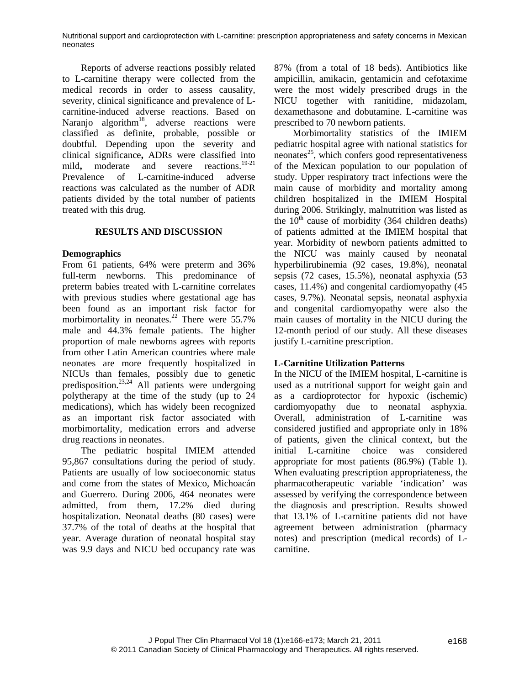Reports of adverse reactions possibly related to L-carnitine therapy were collected from the medical records in order to assess causality, severity, clinical significance and prevalence of Lcarnitine-induced adverse reactions. Based on Naranjo algorithm<sup>18</sup>, adverse reactions were classified as definite, probable, possible or doubtful. Depending upon the severity and clinical significance**,** ADRs were classified into mild, moderate and severe reactions.<sup>19-21</sup> Prevalence of L-carnitine-induced adverse reactions was calculated as the number of ADR patients divided by the total number of patients treated with this drug.

## **RESULTS AND DISCUSSION**

## **Demographics**

From 61 patients, 64% were preterm and 36% full-term newborns. This predominance of preterm babies treated with L-carnitine correlates with previous studies where gestational age has been found as an important risk factor for morbimortality in neonates.<sup>22</sup> There were  $55.7\%$ male and 44.3% female patients. The higher proportion of male newborns agrees with reports from other Latin American countries where male neonates are more frequently hospitalized in NICUs than females, possibly due to genetic predisposition. $^{23,24}$  All patients were undergoing polytherapy at the time of the study (up to 24 medications), which has widely been recognized as an important risk factor associated with morbimortality, medication errors and adverse drug reactions in neonates.

The pediatric hospital IMIEM attended 95,867 consultations during the period of study. Patients are usually of low socioeconomic status and come from the states of Mexico, Michoacán and Guerrero. During 2006, 464 neonates were admitted, from them, 17.2% died during hospitalization. Neonatal deaths (80 cases) were 37.7% of the total of deaths at the hospital that year. Average duration of neonatal hospital stay was 9.9 days and NICU bed occupancy rate was 87% (from a total of 18 beds). Antibiotics like ampicillin, amikacin, gentamicin and cefotaxime were the most widely prescribed drugs in the NICU together with ranitidine, midazolam, dexamethasone and dobutamine. L-carnitine was prescribed to 70 newborn patients.

Morbimortality statistics of the IMIEM pediatric hospital agree with national statistics for  $n$ eonates<sup>25</sup>, which confers good representativeness of the Mexican population to our population of study. Upper respiratory tract infections were the main cause of morbidity and mortality among children hospitalized in the IMIEM Hospital during 2006. Strikingly, malnutrition was listed as the  $10^{th}$  cause of morbidity (364 children deaths) of patients admitted at the IMIEM hospital that year. Morbidity of newborn patients admitted to the NICU was mainly caused by neonatal hyperbilirubinemia (92 cases, 19.8%), neonatal sepsis (72 cases, 15.5%), neonatal asphyxia (53 cases, 11.4%) and congenital cardiomyopathy (45 cases, 9.7%). Neonatal sepsis, neonatal asphyxia and congenital cardiomyopathy were also the main causes of mortality in the NICU during the 12-month period of our study. All these diseases justify L-carnitine prescription.

# **L-Carnitine Utilization Patterns**

In the NICU of the IMIEM hospital, L-carnitine is used as a nutritional support for weight gain and as a cardioprotector for hypoxic (ischemic) cardiomyopathy due to neonatal asphyxia. Overall, administration of L-carnitine was considered justified and appropriate only in 18% of patients, given the clinical context, but the initial L-carnitine choice was considered appropriate for most patients (86.9%) (Table 1). When evaluating prescription appropriateness, the pharmacotherapeutic variable 'indication' was assessed by verifying the correspondence between the diagnosis and prescription. Results showed that 13.1% of L-carnitine patients did not have agreement between administration (pharmacy notes) and prescription (medical records) of Lcarnitine.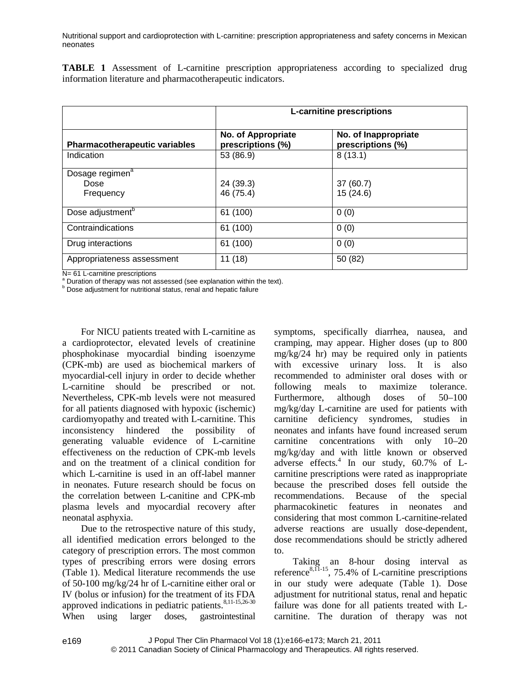**TABLE 1** Assessment of L-carnitine prescription appropriateness according to specialized drug information literature and pharmacotherapeutic indicators.

|                                                  | <b>L-carnitine prescriptions</b>        |                                           |
|--------------------------------------------------|-----------------------------------------|-------------------------------------------|
| <b>Pharmacotherapeutic variables</b>             | No. of Appropriate<br>prescriptions (%) | No. of Inappropriate<br>prescriptions (%) |
| Indication                                       | 53 (86.9)                               | 8(13.1)                                   |
| Dosage regimen <sup>a</sup><br>Dose<br>Frequency | 24 (39.3)<br>46 (75.4)                  | 37(60.7)<br>15(24.6)                      |
| Dose adjustment <sup>b</sup>                     | 61 (100)                                | 0(0)                                      |
| Contraindications                                | 61 (100)                                | 0(0)                                      |
| Drug interactions                                | 61 (100)                                | 0(0)                                      |
| Appropriateness assessment                       | 11(18)                                  | 50 (82)                                   |

N= 61 L-carnitine prescriptions

<sup>a</sup> Duration of therapy was not assessed (see explanation within the text).

**b** Dose adjustment for nutritional status, renal and hepatic failure

For NICU patients treated with L-carnitine as a cardioprotector, elevated levels of creatinine phosphokinase myocardial binding isoenzyme (CPK-mb) are used as biochemical markers of myocardial-cell injury in order to decide whether L-carnitine should be prescribed or not. Nevertheless, CPK-mb levels were not measured for all patients diagnosed with hypoxic (ischemic) cardiomyopathy and treated with L-carnitine. This inconsistency hindered the possibility of generating valuable evidence of L-carnitine effectiveness on the reduction of CPK-mb levels and on the treatment of a clinical condition for which L-carnitine is used in an off-label manner in neonates. Future research should be focus on the correlation between L-canitine and CPK-mb plasma levels and myocardial recovery after neonatal asphyxia.

Due to the retrospective nature of this study, all identified medication errors belonged to the category of prescription errors. The most common types of prescribing errors were dosing errors (Table 1). Medical literature recommends the use of 50-100 mg/kg/24 hr of L-carnitine either oral or IV (bolus or infusion) for the treatment of its FDA approved indications in pediatric patients.<sup>8,11-15,26-30</sup> When using larger doses, gastrointestinal

e169

symptoms, specifically diarrhea, nausea, and cramping, may appear. Higher doses (up to 800 mg/kg/24 hr) may be required only in patients with excessive urinary loss. It is also recommended to administer oral doses with or following meals to maximize tolerance. Furthermore, although doses of 50–100 mg/kg/day L-carnitine are used for patients with carnitine deficiency syndromes, studies in neonates and infants have found increased serum carnitine concentrations with only 10–20 mg/kg/day and with little known or observed adverse effects.<sup>4</sup> In our study, 60.7% of Lcarnitine prescriptions were rated as inappropriate because the prescribed doses fell outside the recommendations. Because of the special pharmacokinetic features in neonates and considering that most common L-carnitine-related adverse reactions are usually dose-dependent, dose recommendations should be strictly adhered to.

Taking an 8-hour dosing interval as reference $8,11-15$ , 75.4% of L-carnitine prescriptions in our study were adequate (Table 1). Dose adjustment for nutritional status, renal and hepatic failure was done for all patients treated with Lcarnitine. The duration of therapy was not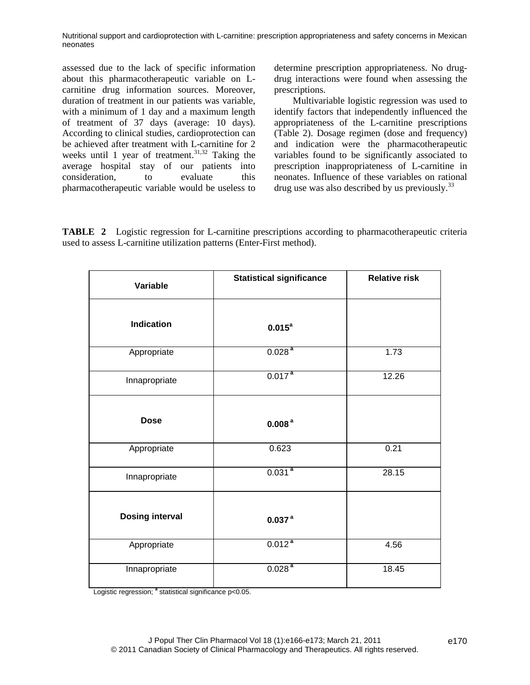assessed due to the lack of specific information about this pharmacotherapeutic variable on Lcarnitine drug information sources. Moreover, duration of treatment in our patients was variable, with a minimum of 1 day and a maximum length of treatment of 37 days (average: 10 days). According to clinical studies, cardioprotection can be achieved after treatment with L-carnitine for 2 weeks until 1 year of treatment. $31,32$  Taking the average hospital stay of our patients into consideration, to evaluate this pharmacotherapeutic variable would be useless to determine prescription appropriateness. No drugdrug interactions were found when assessing the prescriptions.

Multivariable logistic regression was used to identify factors that independently influenced the appropriateness of the L-carnitine prescriptions (Table 2). Dosage regimen (dose and frequency) and indication were the pharmacotherapeutic variables found to be significantly associated to prescription inappropriateness of L-carnitine in neonates. Influence of these variables on rational drug use was also described by us previously.<sup>33</sup>

**TABLE 2** Logistic regression for L-carnitine prescriptions according to pharmacotherapeutic criteria used to assess L-carnitine utilization patterns (Enter-First method).

| Variable               | <b>Statistical significance</b> | <b>Relative risk</b> |
|------------------------|---------------------------------|----------------------|
| <b>Indication</b>      | $0.015^a$                       |                      |
| Appropriate            | 0.028 <sup>a</sup>              | 1.73                 |
| Innapropriate          | 0.017 <sup>a</sup>              | 12.26                |
| <b>Dose</b>            | 0.008 <sup>a</sup>              |                      |
| Appropriate            | 0.623                           | 0.21                 |
| Innapropriate          | $0.031^{a}$                     | 28.15                |
| <b>Dosing interval</b> | 0.037 <sup>a</sup>              |                      |
| Appropriate            | 0.012 <sup>a</sup>              | 4.56                 |
| Innapropriate          | 0.028 <sup>a</sup>              | 18.45                |

Logistic regression; <sup>a</sup> statistical significance p<0.05.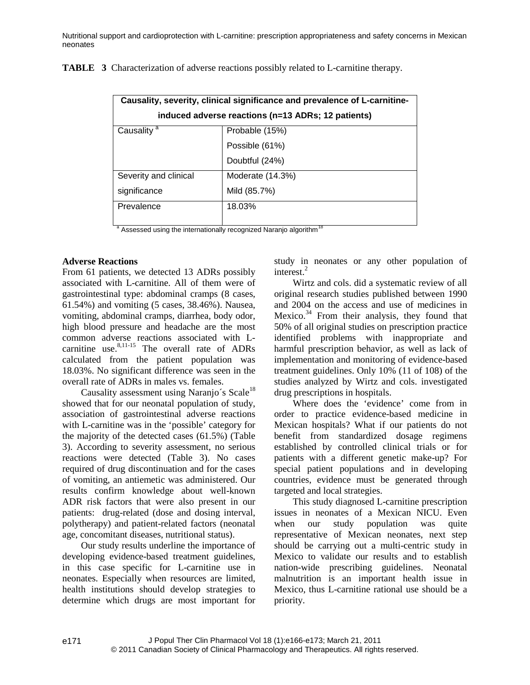| Causality, severity, clinical significance and prevalence of L-carnitine-<br>induced adverse reactions (n=13 ADRs; 12 patients) |                  |  |
|---------------------------------------------------------------------------------------------------------------------------------|------------------|--|
| Causality <sup>a</sup>                                                                                                          | Probable (15%)   |  |
|                                                                                                                                 | Possible (61%)   |  |
|                                                                                                                                 | Doubtful (24%)   |  |
| Severity and clinical                                                                                                           | Moderate (14.3%) |  |
| significance                                                                                                                    | Mild (85.7%)     |  |
| Prevalence                                                                                                                      | 18.03%           |  |
| $\sim$                                                                                                                          | 18<br>$\cdots$   |  |

**TABLE 3** Characterization of adverse reactions possibly related to L-carnitine therapy.

Assessed using the internationally recognized Naranjo algorithm<sup>1</sup>

## **Adverse Reactions**

From 61 patients, we detected 13 ADRs possibly associated with L-carnitine. All of them were of gastrointestinal type: abdominal cramps (8 cases, 61.54%) and vomiting (5 cases, 38.46%). Nausea, vomiting, abdominal cramps, diarrhea, body odor, high blood pressure and headache are the most common adverse reactions associated with Lcarnitine use. $8,11-15$  The overall rate of ADRs calculated from the patient population was 18.03%. No significant difference was seen in the overall rate of ADRs in males vs. females.

Causality assessment using Naranjo's Scale<sup>18</sup> showed that for our neonatal population of study, association of gastrointestinal adverse reactions with L-carnitine was in the 'possible' category for the majority of the detected cases (61.5%) (Table 3). According to severity assessment, no serious reactions were detected (Table 3). No cases required of drug discontinuation and for the cases of vomiting, an antiemetic was administered. Our results confirm knowledge about well-known ADR risk factors that were also present in our patients: drug-related (dose and dosing interval, polytherapy) and patient-related factors (neonatal age, concomitant diseases, nutritional status).

Our study results underline the importance of developing evidence-based treatment guidelines, in this case specific for L-carnitine use in neonates. Especially when resources are limited, health institutions should develop strategies to determine which drugs are most important for study in neonates or any other population of interest.<sup>2</sup>

Wirtz and cols. did a systematic review of all original research studies published between 1990 and 2004 on the access and use of medicines in Mexico.<sup>34</sup> From their analysis, they found that 50% of all original studies on prescription practice identified problems with inappropriate and harmful prescription behavior, as well as lack of implementation and monitoring of evidence-based treatment guidelines. Only 10% (11 of 108) of the studies analyzed by Wirtz and cols. investigated drug prescriptions in hospitals.

Where does the 'evidence' come from in order to practice evidence-based medicine in Mexican hospitals? What if our patients do not benefit from standardized dosage regimens established by controlled clinical trials or for patients with a different genetic make-up? For special patient populations and in developing countries, evidence must be generated through targeted and local strategies.

This study diagnosed L-carnitine prescription issues in neonates of a Mexican NICU. Even when our study population was quite representative of Mexican neonates, next step should be carrying out a multi-centric study in Mexico to validate our results and to establish nation-wide prescribing guidelines. Neonatal malnutrition is an important health issue in Mexico, thus L-carnitine rational use should be a priority.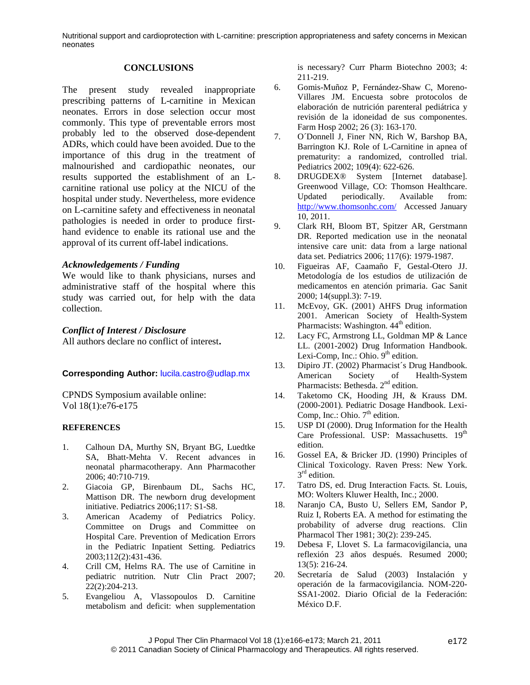#### **CONCLUSIONS**

The present study revealed inappropriate prescribing patterns of L-carnitine in Mexican neonates. Errors in dose selection occur most commonly. This type of preventable errors most probably led to the observed dose-dependent ADRs, which could have been avoided. Due to the importance of this drug in the treatment of malnourished and cardiopathic neonates, our results supported the establishment of an Lcarnitine rational use policy at the NICU of the hospital under study. Nevertheless, more evidence on L-carnitine safety and effectiveness in neonatal pathologies is needed in order to produce firsthand evidence to enable its rational use and the approval of its current off-label indications.

#### *Acknowledgements / Funding*

We would like to thank physicians, nurses and administrative staff of the hospital where this study was carried out, for help with the data collection.

## *Conflict of Interest / Disclosure*

All authors declare no conflict of interest**.**

### **Corresponding Author:** [lucila.castro@udlap.mx](mailto:lucila.castro@udlap.mx)

CPNDS Symposium available online: Vol 18(1):e76-e175

#### **REFERENCES**

- 1. Calhoun DA, Murthy SN, Bryant BG, Luedtke SA, Bhatt-Mehta V. Recent advances in neonatal pharmacotherapy. Ann Pharmacother 2006; 40:710-719.
- 2. Giacoia GP, Birenbaum DL, Sachs HC, Mattison DR. The newborn drug development initiative. Pediatrics 2006;117: S1-S8.
- 3. American Academy of Pediatrics Policy. Committee on Drugs and Committee on Hospital Care. Prevention of Medication Errors in the Pediatric Inpatient Setting. Pediatrics 2003;112(2):431-436.
- 4. Crill CM, Helms RA. The use of Carnitine in pediatric nutrition. Nutr Clin Pract 2007; 22(2):204-213.
- 5. Evangeliou A, Vlassopoulos D. Carnitine metabolism and deficit: when supplementation

is necessary? Curr Pharm Biotechno 2003; 4: 211-219.

- 6. Gomis-Muñoz P, Fernández-Shaw C, Moreno-Villares JM. Encuesta sobre protocolos de elaboración de nutrición parenteral pediátrica y revisión de la idoneidad de sus componentes. Farm Hosp 2002; 26 (3): 163-170.
- 7. O´Donnell J, Finer NN, Rich W, Barshop BA, Barrington KJ. Role of L-Carnitine in apnea of prematurity: a randomized, controlled trial. Pediatrics 2002; 109(4): 622-626.
- 8. DRUGDEX® System [Internet database]. Greenwood Village, CO: Thomson Healthcare. Updated periodically. Available from: <http://www.thomsonhc.com/> Accessed January 10, 2011.
- 9. Clark RH, Bloom BT, Spitzer AR, Gerstmann DR. Reported medication use in the neonatal intensive care unit: data from a large national data set. Pediatrics 2006; 117(6): 1979-1987.
- 10. Figueiras AF, Caamaño F, Gestal-Otero JJ. Metodología de los estudios de utilización de medicamentos en atención primaria. Gac Sanit 2000; 14(suppl.3): 7-19.
- 11. McEvoy, GK. (2001) AHFS Drug information 2001. American Society of Health-System Pharmacists: Washington. 44<sup>th</sup> edition.
- 12. Lacy FC, Armstrong LL, Goldman MP & Lance LL. (2001-2002) Drug Information Handbook. Lexi-Comp, Inc.: Ohio.  $9<sup>th</sup>$  edition.
- 13. Dipiro JT. (2002) Pharmacist´s Drug Handbook. American Society of Health-System Pharmacists: Bethesda. 2<sup>nd</sup> edition.
- 14. Taketomo CK, Hooding JH, & Krauss DM. (2000-2001). Pediatric Dosage Handbook. Lexi-Comp, Inc.: Ohio.  $7<sup>th</sup>$  edition.
- 15. USP DI (2000). Drug Information for the Health Care Professional. USP: Massachusetts. 19<sup>th</sup> edition.
- 16. Gossel EA, & Bricker JD. (1990) Principles of Clinical Toxicology. Raven Press: New York. 3<sup>rd</sup> edition.
- 17. Tatro DS, ed. Drug Interaction Facts*.* St. Louis, MO: Wolters Kluwer Health, Inc.; 2000.
- 18. Naranjo CA, Busto U, Sellers EM, Sandor P, Ruiz I, Roberts EA. A method for estimating the probability of adverse drug reactions. Clin Pharmacol Ther 1981; 30(2): 239-245.
- 19. Debesa F, Llovet S. La farmacovigilancia, una reflexión 23 años después. Resumed 2000; 13(5): 216-24.
- 20. Secretaría de Salud (2003) Instalación y operación de la farmacovigilancia. NOM-220- SSA1-2002. Diario Oficial de la Federación: México D.F.